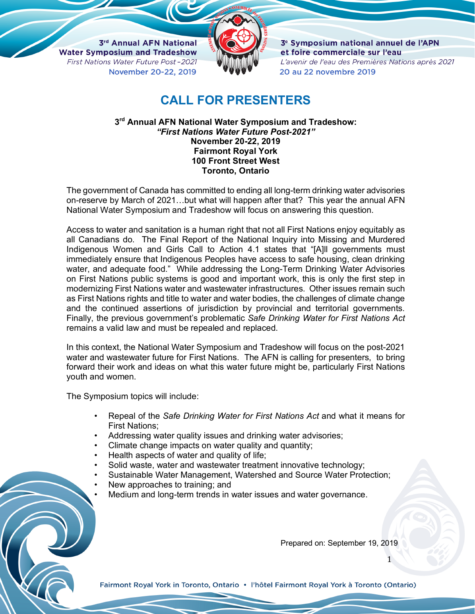3rd Annual AFN National **Water Symposium and Tradeshow** First Nations Water Future Post-2021 November 20-22, 2019



3<sup>e</sup> Symposium national annuel de l'APN et foire commerciale sur l'eau L'avenir de l'eau des Premières Nations après 2021 20 au 22 novembre 2019

## **CALL FOR PRESENTERS**

**3rd Annual AFN National Water Symposium and Tradeshow:** *"First Nations Water Future Post-2021"* **November 20-22, 2019 Fairmont Royal York 100 Front Street West Toronto, Ontario**

The government of Canada has committed to ending all long-term drinking water advisories on-reserve by March of 2021…but what will happen after that? This year the annual AFN National Water Symposium and Tradeshow will focus on answering this question.

Access to water and sanitation is a human right that not all First Nations enjoy equitably as all Canadians do. The Final Report of the National Inquiry into Missing and Murdered Indigenous Women and Girls Call to Action 4.1 states that "[A]ll governments must immediately ensure that Indigenous Peoples have access to safe housing, clean drinking water, and adequate food." While addressing the Long-Term Drinking Water Advisories on First Nations public systems is good and important work, this is only the first step in modernizing First Nations water and wastewater infrastructures. Other issues remain such as First Nations rights and title to water and water bodies, the challenges of climate change and the continued assertions of jurisdiction by provincial and territorial governments. Finally, the previous government's problematic *Safe Drinking Water for First Nations Act* remains a valid law and must be repealed and replaced.

In this context, the National Water Symposium and Tradeshow will focus on the post-2021 water and wastewater future for First Nations. The AFN is calling for presenters, to bring forward their work and ideas on what this water future might be, particularly First Nations youth and women.

The Symposium topics will include:

- Repeal of the *Safe Drinking Water for First Nations Act* and what it means for First Nations;
- Addressing water quality issues and drinking water advisories;
- Climate change impacts on water quality and quantity;
- Health aspects of water and quality of life;
- Solid waste, water and wastewater treatment innovative technology;
- Sustainable Water Management, Watershed and Source Water Protection;
- New approaches to training; and
- Medium and long-term trends in water issues and water governance.

Prepared on: September 19, 2019

1

Fairmont Royal York in Toronto, Ontario • l'hôtel Fairmont Royal York à Toronto (Ontario)